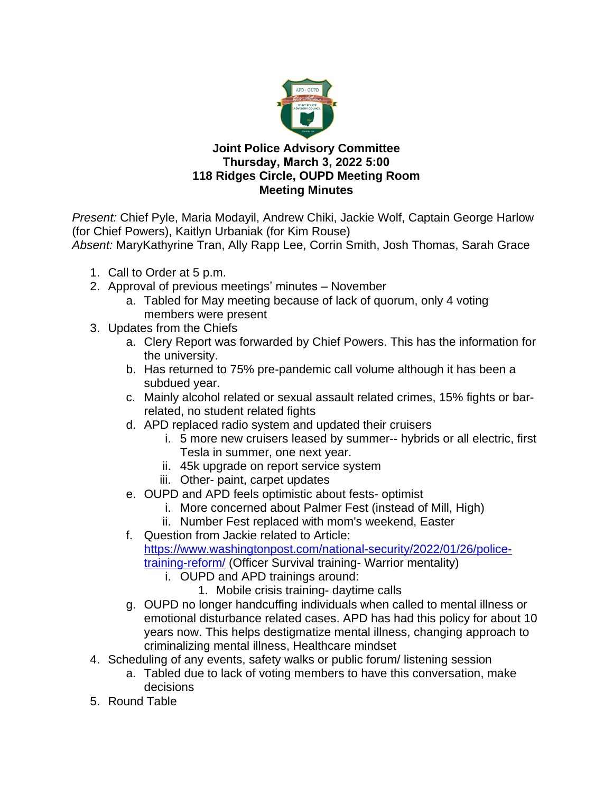

## **Joint Police Advisory Committee Thursday, March 3, 2022 5:00 118 Ridges Circle, OUPD Meeting Room Meeting Minutes**

*Present:* Chief Pyle, Maria Modayil, Andrew Chiki, Jackie Wolf, Captain George Harlow (for Chief Powers), Kaitlyn Urbaniak (for Kim Rouse) *Absent:* MaryKathyrine Tran, Ally Rapp Lee, Corrin Smith, Josh Thomas, Sarah Grace

- 1. Call to Order at 5 p.m.
- 2. Approval of previous meetings' minutes November
	- a. Tabled for May meeting because of lack of quorum, only 4 voting members were present
- 3. Updates from the Chiefs
	- a. Clery Report was forwarded by Chief Powers. This has the information for the university.
	- b. Has returned to 75% pre-pandemic call volume although it has been a subdued year.
	- c. Mainly alcohol related or sexual assault related crimes, 15% fights or barrelated, no student related fights
	- d. APD replaced radio system and updated their cruisers
		- i. 5 more new cruisers leased by summer-- hybrids or all electric, first Tesla in summer, one next year.
		- ii. 45k upgrade on report service system
		- iii. Other- paint, carpet updates
	- e. OUPD and APD feels optimistic about fests- optimist
		- i. More concerned about Palmer Fest (instead of Mill, High)
		- ii. Number Fest replaced with mom's weekend, Easter
	- f. Question from Jackie related to Article: [https://www.washingtonpost.com/national-security/2022/01/26/police](https://nam11.safelinks.protection.outlook.com/?url=https%3A%2F%2Fwww.washingtonpost.com%2Fnational-security%2F2022%2F01%2F26%2Fpolice-training-reform%2F&data=04%7C01%7Cmm121711%40ohio.edu%7C9f1be27484a84c7502c908d9fd69972b%7Cf3308007477c4a70888934611817c55a%7C0%7C0%7C637819452222548553%7CUnknown%7CTWFpbGZsb3d8eyJWIjoiMC4wLjAwMDAiLCJQIjoiV2luMzIiLCJBTiI6Ik1haWwiLCJXVCI6Mn0%3D%7C3000&sdata=UnDt562GMy%2BMiDXH1zScfm6fjTf0ILspxOsiAFEqUGM%3D&reserved=0)training-reform/ (Officer Survival training- Warrior mentality)
		- i. OUPD and APD trainings around:
			- 1. Mobile crisis training- daytime calls
	- g. OUPD no longer handcuffing individuals when called to mental illness or emotional disturbance related cases. APD has had this policy for about 10 years now. This helps destigmatize mental illness, changing approach to criminalizing mental illness, Healthcare mindset
- 4. Scheduling of any events, safety walks or public forum/ listening session
	- a. Tabled due to lack of voting members to have this conversation, make decisions
- 5. Round Table